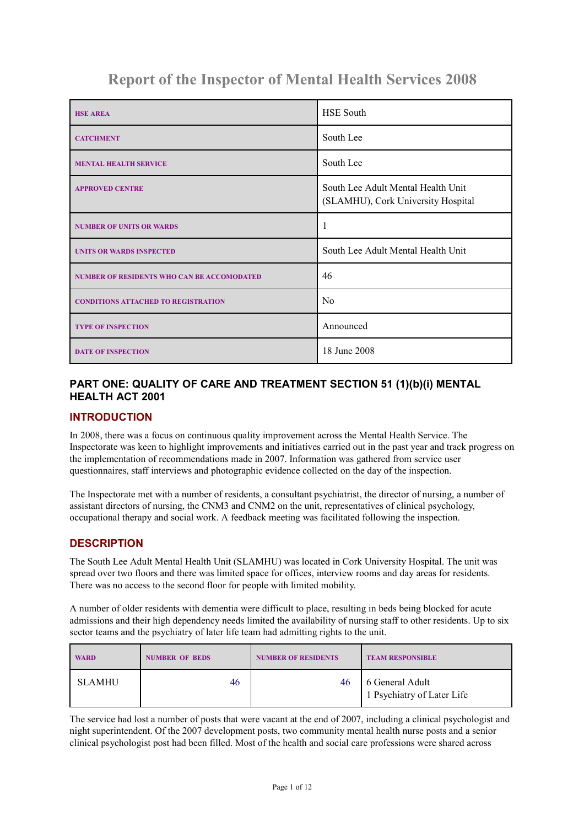# **Report of the Inspector of Mental Health Services 2008**

| <b>HSE AREA</b>                                   | <b>HSE South</b>                                                         |
|---------------------------------------------------|--------------------------------------------------------------------------|
| <b>CATCHMENT</b>                                  | South Lee                                                                |
| <b>MENTAL HEALTH SERVICE</b>                      | South Lee                                                                |
| <b>APPROVED CENTRE</b>                            | South Lee Adult Mental Health Unit<br>(SLAMHU), Cork University Hospital |
| <b>NUMBER OF UNITS OR WARDS</b>                   |                                                                          |
| <b>UNITS OR WARDS INSPECTED</b>                   | South Lee Adult Mental Health Unit                                       |
| <b>NUMBER OF RESIDENTS WHO CAN BE ACCOMODATED</b> | 46                                                                       |
| <b>CONDITIONS ATTACHED TO REGISTRATION</b>        | N <sub>0</sub>                                                           |
| <b>TYPE OF INSPECTION</b>                         | Announced                                                                |
| <b>DATE OF INSPECTION</b>                         | 18 June 2008                                                             |

# **PART ONE: QUALITY OF CARE AND TREATMENT SECTION 51 (1)(b)(i) MENTAL HEALTH ACT 2001**

### **INTRODUCTION**

In 2008, there was a focus on continuous quality improvement across the Mental Health Service. The Inspectorate was keen to highlight improvements and initiatives carried out in the past year and track progress on the implementation of recommendations made in 2007. Information was gathered from service user questionnaires, staff interviews and photographic evidence collected on the day of the inspection.

The Inspectorate met with a number of residents, a consultant psychiatrist, the director of nursing, a number of assistant directors of nursing, the CNM3 and CNM2 on the unit, representatives of clinical psychology, occupational therapy and social work. A feedback meeting was facilitated following the inspection.

# **DESCRIPTION**

The South Lee Adult Mental Health Unit (SLAMHU) was located in Cork University Hospital. The unit was spread over two floors and there was limited space for offices, interview rooms and day areas for residents. There was no access to the second floor for people with limited mobility.

A number of older residents with dementia were difficult to place, resulting in beds being blocked for acute admissions and their high dependency needs limited the availability of nursing staff to other residents. Up to six sector teams and the psychiatry of later life team had admitting rights to the unit.

| <b>WARD</b>   | <b>NUMBER OF BEDS</b> | <b>NUMBER OF RESIDENTS</b> | <b>TEAM RESPONSIBLE</b>                       |
|---------------|-----------------------|----------------------------|-----------------------------------------------|
| <b>SLAMHU</b> | 46                    | 46                         | 6 General Adult<br>1 Psychiatry of Later Life |

The service had lost a number of posts that were vacant at the end of 2007, including a clinical psychologist and night superintendent. Of the 2007 development posts, two community mental health nurse posts and a senior clinical psychologist post had been filled. Most of the health and social care professions were shared across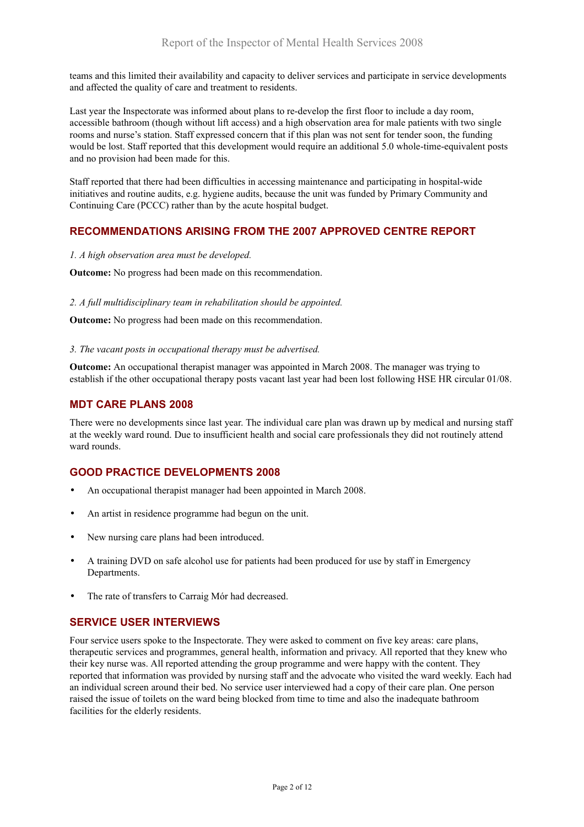teams and this limited their availability and capacity to deliver services and participate in service developments and affected the quality of care and treatment to residents.

Last year the Inspectorate was informed about plans to re-develop the first floor to include a day room, accessible bathroom (though without lift access) and a high observation area for male patients with two single rooms and nurse's station. Staff expressed concern that if this plan was not sent for tender soon, the funding would be lost. Staff reported that this development would require an additional 5.0 whole-time-equivalent posts and no provision had been made for this.

Staff reported that there had been difficulties in accessing maintenance and participating in hospital-wide initiatives and routine audits, e.g. hygiene audits, because the unit was funded by Primary Community and Continuing Care (PCCC) rather than by the acute hospital budget.

# **RECOMMENDATIONS ARISING FROM THE 2007 APPROVED CENTRE REPORT**

#### *1. A high observation area must be developed.*

**Outcome:** No progress had been made on this recommendation.

#### *2. A full multidisciplinary team in rehabilitation should be appointed.*

**Outcome:** No progress had been made on this recommendation.

#### *3. The vacant posts in occupational therapy must be advertised.*

**Outcome:** An occupational therapist manager was appointed in March 2008. The manager was trying to establish if the other occupational therapy posts vacant last year had been lost following HSE HR circular 01/08.

### **MDT CARE PLANS 2008**

There were no developments since last year. The individual care plan was drawn up by medical and nursing staff at the weekly ward round. Due to insufficient health and social care professionals they did not routinely attend ward rounds.

# **GOOD PRACTICE DEVELOPMENTS 2008**

- An occupational therapist manager had been appointed in March 2008.
- An artist in residence programme had begun on the unit.
- New nursing care plans had been introduced.
- A training DVD on safe alcohol use for patients had been produced for use by staff in Emergency Departments.
- The rate of transfers to Carraig Mór had decreased.

### **SERVICE USER INTERVIEWS**

Four service users spoke to the Inspectorate. They were asked to comment on five key areas: care plans, therapeutic services and programmes, general health, information and privacy. All reported that they knew who their key nurse was. All reported attending the group programme and were happy with the content. They reported that information was provided by nursing staff and the advocate who visited the ward weekly. Each had an individual screen around their bed. No service user interviewed had a copy of their care plan. One person raised the issue of toilets on the ward being blocked from time to time and also the inadequate bathroom facilities for the elderly residents.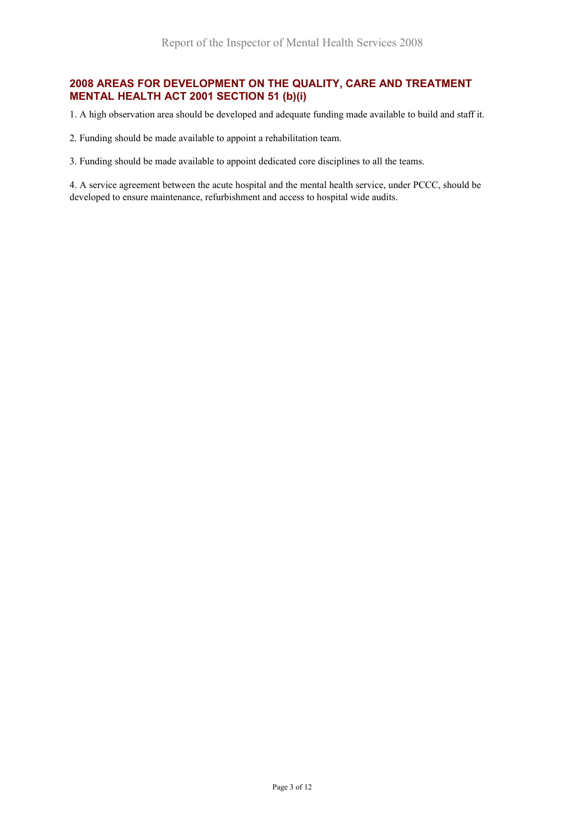# **2008 AREAS FOR DEVELOPMENT ON THE QUALITY, CARE AND TREATMENT MENTAL HEALTH ACT 2001 SECTION 51 (b)(i)**

1. A high observation area should be developed and adequate funding made available to build and staff it.

2. Funding should be made available to appoint a rehabilitation team.

3. Funding should be made available to appoint dedicated core disciplines to all the teams.

4. A service agreement between the acute hospital and the mental health service, under PCCC, should be developed to ensure maintenance, refurbishment and access to hospital wide audits.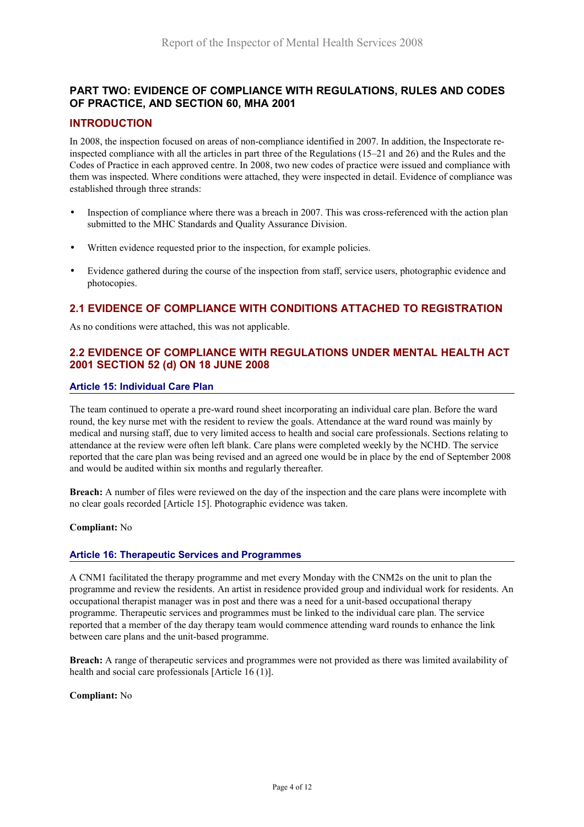# **PART TWO: EVIDENCE OF COMPLIANCE WITH REGULATIONS, RULES AND CODES OF PRACTICE, AND SECTION 60, MHA 2001**

### **INTRODUCTION**

In 2008, the inspection focused on areas of non-compliance identified in 2007. In addition, the Inspectorate reinspected compliance with all the articles in part three of the Regulations (15–21 and 26) and the Rules and the Codes of Practice in each approved centre. In 2008, two new codes of practice were issued and compliance with them was inspected. Where conditions were attached, they were inspected in detail. Evidence of compliance was established through three strands:

- Inspection of compliance where there was a breach in 2007. This was cross-referenced with the action plan submitted to the MHC Standards and Quality Assurance Division.
- Written evidence requested prior to the inspection, for example policies.
- Evidence gathered during the course of the inspection from staff, service users, photographic evidence and photocopies.

# **2.1 EVIDENCE OF COMPLIANCE WITH CONDITIONS ATTACHED TO REGISTRATION**

As no conditions were attached, this was not applicable.

# **2.2 EVIDENCE OF COMPLIANCE WITH REGULATIONS UNDER MENTAL HEALTH ACT 2001 SECTION 52 (d) ON 18 JUNE 2008**

#### **Article 15: Individual Care Plan**

The team continued to operate a pre-ward round sheet incorporating an individual care plan. Before the ward round, the key nurse met with the resident to review the goals. Attendance at the ward round was mainly by medical and nursing staff, due to very limited access to health and social care professionals. Sections relating to attendance at the review were often left blank. Care plans were completed weekly by the NCHD. The service reported that the care plan was being revised and an agreed one would be in place by the end of September 2008 and would be audited within six months and regularly thereafter.

**Breach:** A number of files were reviewed on the day of the inspection and the care plans were incomplete with no clear goals recorded [Article 15]. Photographic evidence was taken.

#### **Compliant:** No

#### **Article 16: Therapeutic Services and Programmes**

A CNM1 facilitated the therapy programme and met every Monday with the CNM2s on the unit to plan the programme and review the residents. An artist in residence provided group and individual work for residents. An occupational therapist manager was in post and there was a need for a unit-based occupational therapy programme. Therapeutic services and programmes must be linked to the individual care plan. The service reported that a member of the day therapy team would commence attending ward rounds to enhance the link between care plans and the unit-based programme.

**Breach:** A range of therapeutic services and programmes were not provided as there was limited availability of health and social care professionals [Article 16 (1)].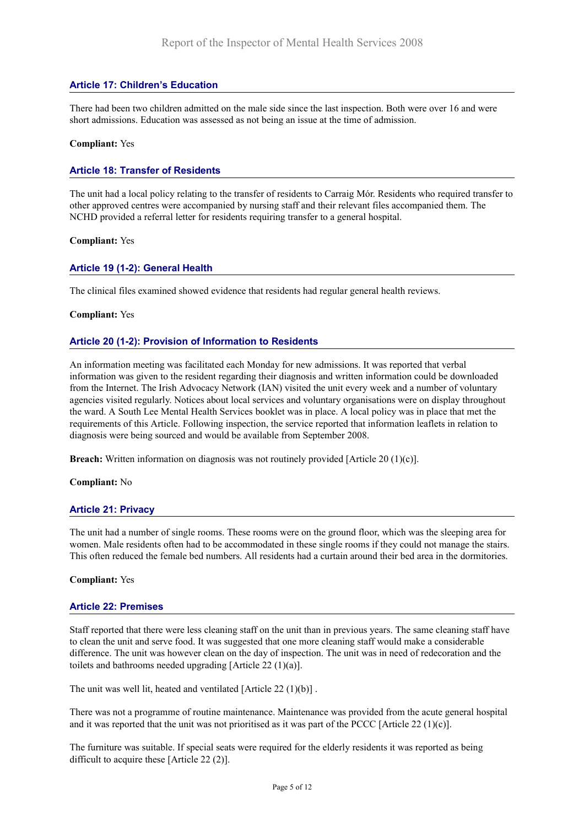### **Article 17: Children's Education**

There had been two children admitted on the male side since the last inspection. Both were over 16 and were short admissions. Education was assessed as not being an issue at the time of admission.

#### **Compliant:** Yes

#### **Article 18: Transfer of Residents**

The unit had a local policy relating to the transfer of residents to Carraig Mór. Residents who required transfer to other approved centres were accompanied by nursing staff and their relevant files accompanied them. The NCHD provided a referral letter for residents requiring transfer to a general hospital.

#### **Compliant:** Yes

#### **Article 19 (1-2): General Health**

The clinical files examined showed evidence that residents had regular general health reviews.

#### **Compliant:** Yes

#### **Article 20 (1-2): Provision of Information to Residents**

An information meeting was facilitated each Monday for new admissions. It was reported that verbal information was given to the resident regarding their diagnosis and written information could be downloaded from the Internet. The Irish Advocacy Network (IAN) visited the unit every week and a number of voluntary agencies visited regularly. Notices about local services and voluntary organisations were on display throughout the ward. A South Lee Mental Health Services booklet was in place. A local policy was in place that met the requirements of this Article. Following inspection, the service reported that information leaflets in relation to diagnosis were being sourced and would be available from September 2008.

**Breach:** Written information on diagnosis was not routinely provided [Article 20 (1)(c)].

**Compliant:** No

#### **Article 21: Privacy**

The unit had a number of single rooms. These rooms were on the ground floor, which was the sleeping area for women. Male residents often had to be accommodated in these single rooms if they could not manage the stairs. This often reduced the female bed numbers. All residents had a curtain around their bed area in the dormitories.

#### **Compliant:** Yes

#### **Article 22: Premises**

Staff reported that there were less cleaning staff on the unit than in previous years. The same cleaning staff have to clean the unit and serve food. It was suggested that one more cleaning staff would make a considerable difference. The unit was however clean on the day of inspection. The unit was in need of redecoration and the toilets and bathrooms needed upgrading [Article 22 (1)(a)].

The unit was well lit, heated and ventilated [Article 22 (1)(b)] .

There was not a programme of routine maintenance. Maintenance was provided from the acute general hospital and it was reported that the unit was not prioritised as it was part of the PCCC [Article 22 (1)(c)].

The furniture was suitable. If special seats were required for the elderly residents it was reported as being difficult to acquire these [Article 22 (2)].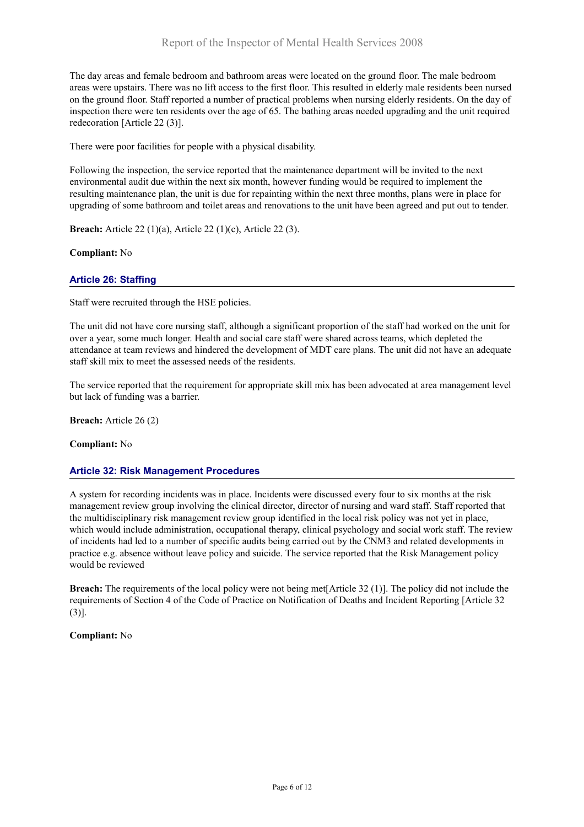The day areas and female bedroom and bathroom areas were located on the ground floor. The male bedroom areas were upstairs. There was no lift access to the first floor. This resulted in elderly male residents been nursed on the ground floor. Staff reported a number of practical problems when nursing elderly residents. On the day of inspection there were ten residents over the age of 65. The bathing areas needed upgrading and the unit required redecoration [Article 22 (3)].

There were poor facilities for people with a physical disability.

Following the inspection, the service reported that the maintenance department will be invited to the next environmental audit due within the next six month, however funding would be required to implement the resulting maintenance plan, the unit is due for repainting within the next three months, plans were in place for upgrading of some bathroom and toilet areas and renovations to the unit have been agreed and put out to tender.

**Breach:** Article 22 (1)(a), Article 22 (1)(c), Article 22 (3).

**Compliant:** No

### **Article 26: Staffing**

Staff were recruited through the HSE policies.

The unit did not have core nursing staff, although a significant proportion of the staff had worked on the unit for over a year, some much longer. Health and social care staff were shared across teams, which depleted the attendance at team reviews and hindered the development of MDT care plans. The unit did not have an adequate staff skill mix to meet the assessed needs of the residents.

The service reported that the requirement for appropriate skill mix has been advocated at area management level but lack of funding was a barrier.

**Breach:** Article 26 (2)

**Compliant:** No

### **Article 32: Risk Management Procedures**

A system for recording incidents was in place. Incidents were discussed every four to six months at the risk management review group involving the clinical director, director of nursing and ward staff. Staff reported that the multidisciplinary risk management review group identified in the local risk policy was not yet in place, which would include administration, occupational therapy, clinical psychology and social work staff. The review of incidents had led to a number of specific audits being carried out by the CNM3 and related developments in practice e.g. absence without leave policy and suicide. The service reported that the Risk Management policy would be reviewed

**Breach:** The requirements of the local policy were not being met[Article 32 (1)]. The policy did not include the requirements of Section 4 of the Code of Practice on Notification of Deaths and Incident Reporting [Article 32  $(3)$ ].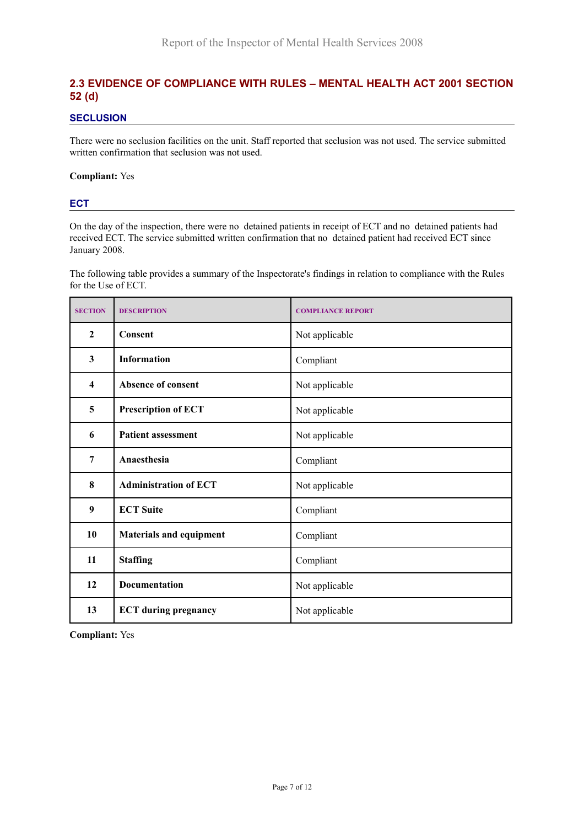# **2.3 EVIDENCE OF COMPLIANCE WITH RULES – MENTAL HEALTH ACT 2001 SECTION 52 (d)**

### **SECLUSION**

There were no seclusion facilities on the unit. Staff reported that seclusion was not used. The service submitted written confirmation that seclusion was not used.

#### **Compliant:** Yes

#### **ECT**

On the day of the inspection, there were no detained patients in receipt of ECT and no detained patients had received ECT. The service submitted written confirmation that no detained patient had received ECT since January 2008.

The following table provides a summary of the Inspectorate's findings in relation to compliance with the Rules for the Use of ECT.

| <b>SECTION</b>          | <b>DESCRIPTION</b>             | <b>COMPLIANCE REPORT</b> |
|-------------------------|--------------------------------|--------------------------|
| $\boldsymbol{2}$        | Consent                        | Not applicable           |
| $\overline{\mathbf{3}}$ | <b>Information</b>             | Compliant                |
| $\overline{\mathbf{4}}$ | Absence of consent             | Not applicable           |
| 5                       | <b>Prescription of ECT</b>     | Not applicable           |
| 6                       | <b>Patient assessment</b>      | Not applicable           |
| $\overline{7}$          | Anaesthesia                    | Compliant                |
| 8                       | <b>Administration of ECT</b>   | Not applicable           |
| 9                       | <b>ECT Suite</b>               | Compliant                |
| 10                      | <b>Materials and equipment</b> | Compliant                |
| 11                      | <b>Staffing</b>                | Compliant                |
| 12                      | Documentation                  | Not applicable           |
| 13                      | <b>ECT</b> during pregnancy    | Not applicable           |

**Compliant:** Yes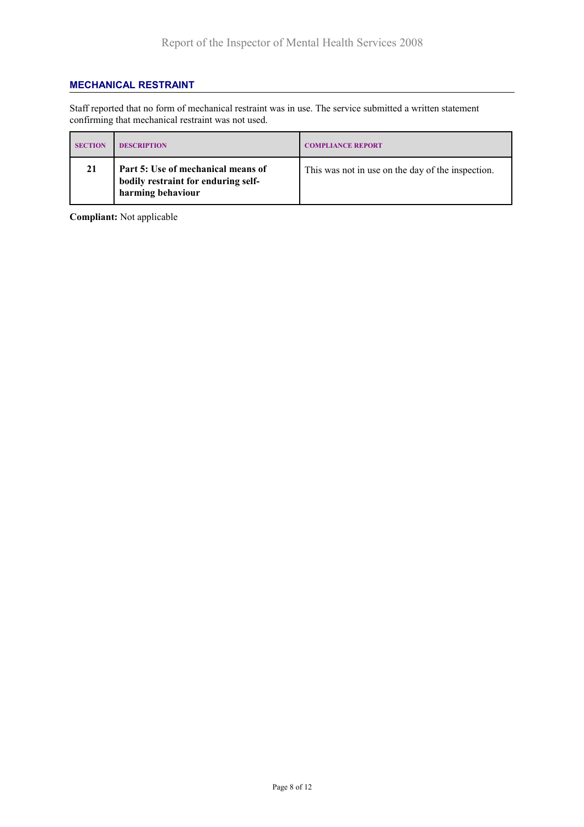### **MECHANICAL RESTRAINT**

Staff reported that no form of mechanical restraint was in use. The service submitted a written statement confirming that mechanical restraint was not used.

| <b>SECTION</b> | <b>DESCRIPTION</b>                                                                             | <b>COMPLIANCE REPORT</b>                          |
|----------------|------------------------------------------------------------------------------------------------|---------------------------------------------------|
| 21             | Part 5: Use of mechanical means of<br>bodily restraint for enduring self-<br>harming behaviour | This was not in use on the day of the inspection. |

**Compliant:** Not applicable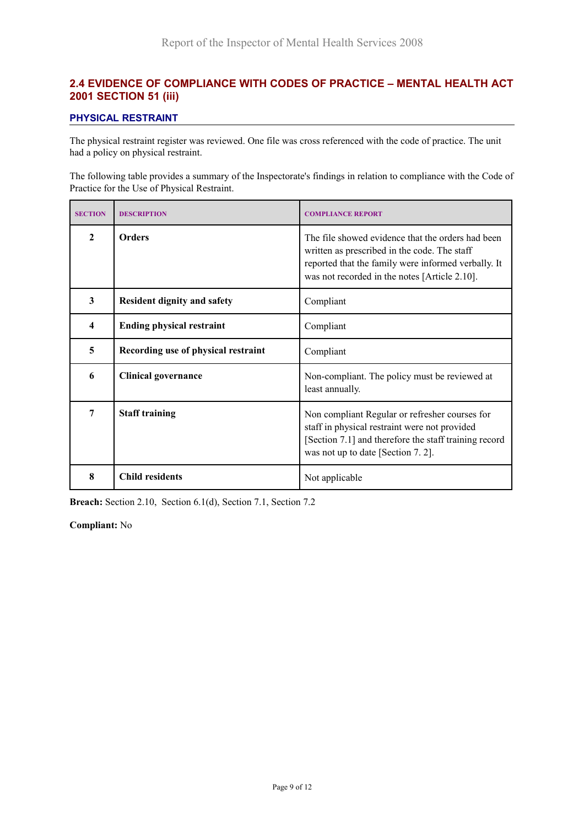# **2.4 EVIDENCE OF COMPLIANCE WITH CODES OF PRACTICE – MENTAL HEALTH ACT 2001 SECTION 51 (iii)**

### **PHYSICAL RESTRAINT**

The physical restraint register was reviewed. One file was cross referenced with the code of practice. The unit had a policy on physical restraint.

The following table provides a summary of the Inspectorate's findings in relation to compliance with the Code of Practice for the Use of Physical Restraint.

| <b>SECTION</b> | <b>DESCRIPTION</b>                  | <b>COMPLIANCE REPORT</b>                                                                                                                                                                                  |
|----------------|-------------------------------------|-----------------------------------------------------------------------------------------------------------------------------------------------------------------------------------------------------------|
| $\mathbf{2}$   | <b>Orders</b>                       | The file showed evidence that the orders had been<br>written as prescribed in the code. The staff<br>reported that the family were informed verbally. It<br>was not recorded in the notes [Article 2.10]. |
| 3              | <b>Resident dignity and safety</b>  | Compliant                                                                                                                                                                                                 |
| 4              | <b>Ending physical restraint</b>    | Compliant                                                                                                                                                                                                 |
| 5              | Recording use of physical restraint | Compliant                                                                                                                                                                                                 |
| 6              | <b>Clinical governance</b>          | Non-compliant. The policy must be reviewed at<br>least annually.                                                                                                                                          |
| 7              | <b>Staff training</b>               | Non compliant Regular or refresher courses for<br>staff in physical restraint were not provided<br>[Section 7.1] and therefore the staff training record<br>was not up to date [Section 7.2].             |
| 8              | <b>Child residents</b>              | Not applicable                                                                                                                                                                                            |

**Breach:** Section 2.10, Section 6.1(d), Section 7.1, Section 7.2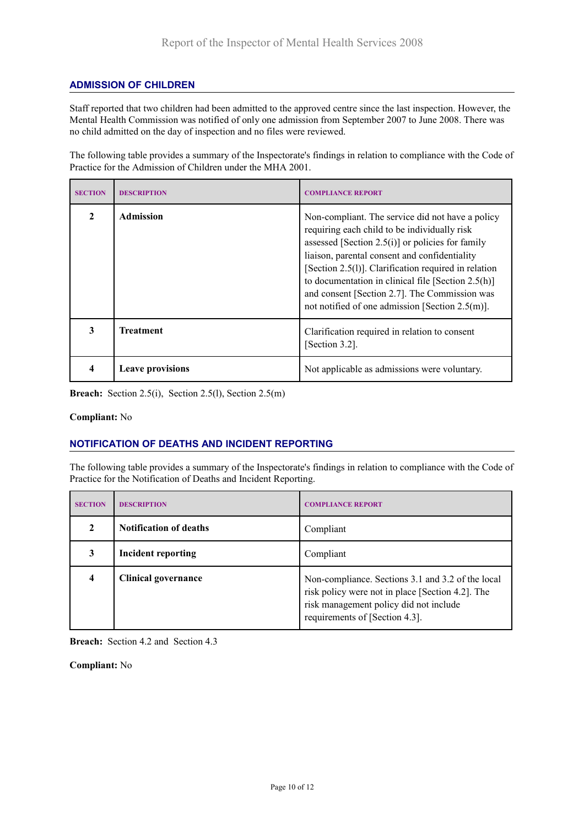### **ADMISSION OF CHILDREN**

Staff reported that two children had been admitted to the approved centre since the last inspection. However, the Mental Health Commission was notified of only one admission from September 2007 to June 2008. There was no child admitted on the day of inspection and no files were reviewed.

The following table provides a summary of the Inspectorate's findings in relation to compliance with the Code of Practice for the Admission of Children under the MHA 2001.

| <b>SECTION</b> | <b>DESCRIPTION</b>      | <b>COMPLIANCE REPORT</b>                                                                                                                                                                                                                                                                                                                                                                                                         |
|----------------|-------------------------|----------------------------------------------------------------------------------------------------------------------------------------------------------------------------------------------------------------------------------------------------------------------------------------------------------------------------------------------------------------------------------------------------------------------------------|
| $\mathcal{D}$  | <b>Admission</b>        | Non-compliant. The service did not have a policy<br>requiring each child to be individually risk<br>assessed [Section $2.5(i)$ ] or policies for family<br>liaison, parental consent and confidentiality<br>[Section 2.5(1)]. Clarification required in relation<br>to documentation in clinical file [Section $2.5(h)$ ]<br>and consent [Section 2.7]. The Commission was<br>not notified of one admission [Section $2.5(m)$ ]. |
| 3              | <b>Treatment</b>        | Clarification required in relation to consent<br>[Section 3.2].                                                                                                                                                                                                                                                                                                                                                                  |
| 4              | <b>Leave provisions</b> | Not applicable as admissions were voluntary.                                                                                                                                                                                                                                                                                                                                                                                     |

**Breach:** Section 2.5(i), Section 2.5(l), Section 2.5(m)

#### **Compliant:** No

# **NOTIFICATION OF DEATHS AND INCIDENT REPORTING**

The following table provides a summary of the Inspectorate's findings in relation to compliance with the Code of Practice for the Notification of Deaths and Incident Reporting.

| <b>SECTION</b>          | <b>DESCRIPTION</b>            | <b>COMPLIANCE REPORT</b>                                                                                                                                                          |
|-------------------------|-------------------------------|-----------------------------------------------------------------------------------------------------------------------------------------------------------------------------------|
| 2                       | <b>Notification of deaths</b> | Compliant                                                                                                                                                                         |
| 3                       | <b>Incident reporting</b>     | Compliant                                                                                                                                                                         |
| $\overline{\mathbf{4}}$ | <b>Clinical governance</b>    | Non-compliance. Sections 3.1 and 3.2 of the local<br>risk policy were not in place [Section 4.2]. The<br>risk management policy did not include<br>requirements of [Section 4.3]. |

**Breach:** Section 4.2 and Section 4.3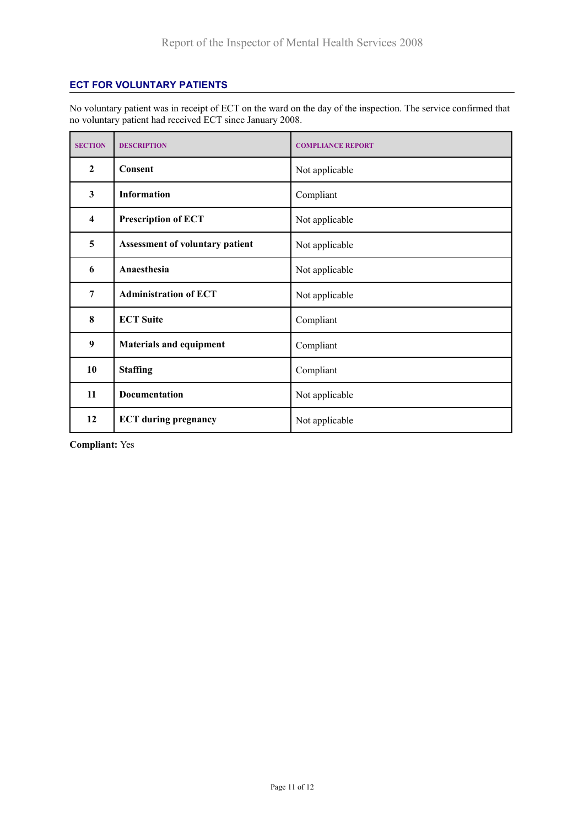### **ECT FOR VOLUNTARY PATIENTS**

No voluntary patient was in receipt of ECT on the ward on the day of the inspection. The service confirmed that no voluntary patient had received ECT since January 2008.

| <b>SECTION</b>          | <b>DESCRIPTION</b>                     | <b>COMPLIANCE REPORT</b> |
|-------------------------|----------------------------------------|--------------------------|
| $\boldsymbol{2}$        | Consent                                | Not applicable           |
| 3                       | <b>Information</b>                     | Compliant                |
| $\overline{\mathbf{4}}$ | <b>Prescription of ECT</b>             | Not applicable           |
| 5                       | <b>Assessment of voluntary patient</b> | Not applicable           |
| 6                       | Anaesthesia                            | Not applicable           |
| 7                       | <b>Administration of ECT</b>           | Not applicable           |
| 8                       | <b>ECT Suite</b>                       | Compliant                |
| 9                       | <b>Materials and equipment</b>         | Compliant                |
| 10                      | <b>Staffing</b>                        | Compliant                |
| 11                      | <b>Documentation</b>                   | Not applicable           |
| 12                      | <b>ECT</b> during pregnancy            | Not applicable           |

**Compliant:** Yes